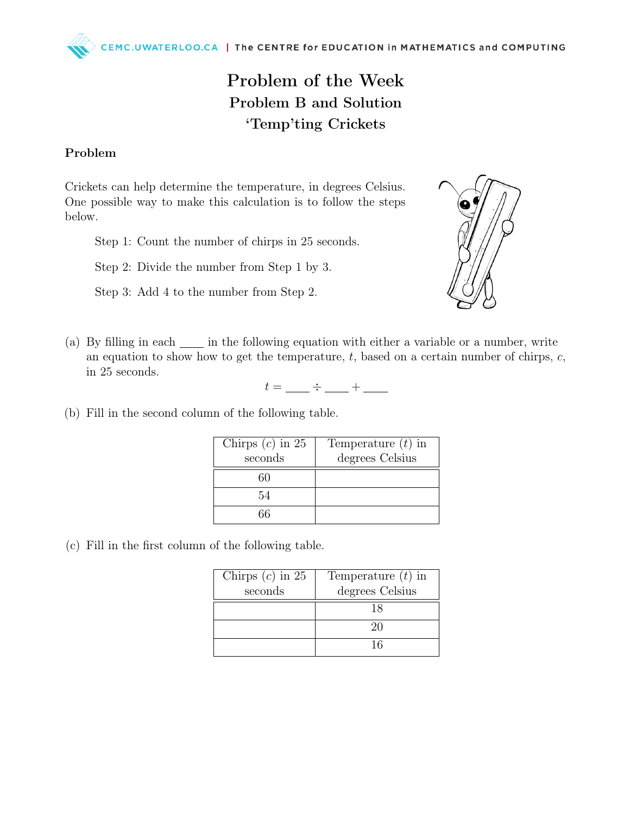## Problem of the Week Problem B and Solution 'Temp'ting Crickets

## Problem

Crickets can help determine the temperature, in degrees Celsius. One possible way to make this calculation is to follow the steps below.

Step 1: Count the number of chirps in 25 seconds.

Step 2: Divide the number from Step 1 by 3.

Step 3: Add 4 to the number from Step 2.



(a) By filling in each  $\frac{1}{\sqrt{2}}$  in the following equation with either a variable or a number, write an equation to show how to get the temperature,  $t$ , based on a certain number of chirps,  $c$ , in 25 seconds.

 $t = \underline{\qquad} \div \underline{\qquad} + \underline{\qquad}$ 

(b) Fill in the second column of the following table.

| Chirps $(c)$ in 25<br>seconds | Temperature $(t)$ in<br>degrees Celsius |
|-------------------------------|-----------------------------------------|
| 60                            |                                         |
| 54                            |                                         |
| 66                            |                                         |

(c) Fill in the first column of the following table.

| Chirps $(c)$ in 25 | Temperature $(t)$ in |
|--------------------|----------------------|
| seconds            | degrees Celsius      |
|                    | 18                   |
|                    | -20                  |
|                    | 16                   |